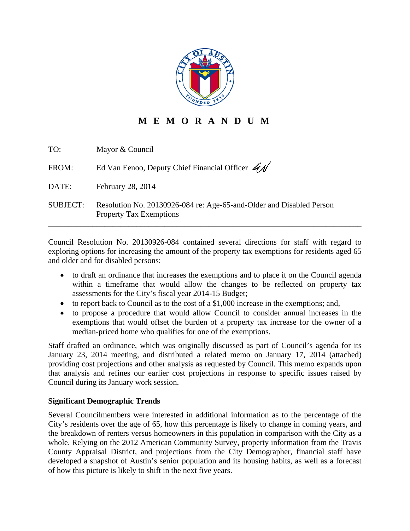

# **M E M O R A N D U M**

| TO:             | Mayor & Council                                                                                        |
|-----------------|--------------------------------------------------------------------------------------------------------|
| FROM:           | Ed Van Eenoo, Deputy Chief Financial Officer $\overrightarrow{41}$                                     |
| DATE:           | February 28, 2014                                                                                      |
| <b>SUBJECT:</b> | Resolution No. 20130926-084 re: Age-65-and-Older and Disabled Person<br><b>Property Tax Exemptions</b> |

Council Resolution No. 20130926-084 contained several directions for staff with regard to exploring options for increasing the amount of the property tax exemptions for residents aged 65 and older and for disabled persons:

- to draft an ordinance that increases the exemptions and to place it on the Council agenda within a timeframe that would allow the changes to be reflected on property tax assessments for the City's fiscal year 2014-15 Budget;
- $\bullet$  to report back to Council as to the cost of a \$1,000 increase in the exemptions; and,
- to propose a procedure that would allow Council to consider annual increases in the exemptions that would offset the burden of a property tax increase for the owner of a median-priced home who qualifies for one of the exemptions.

Staff drafted an ordinance, which was originally discussed as part of Council's agenda for its January 23, 2014 meeting, and distributed a related memo on January 17, 2014 (attached) providing cost projections and other analysis as requested by Council. This memo expands upon that analysis and refines our earlier cost projections in response to specific issues raised by Council during its January work session.

# **Significant Demographic Trends**

Several Councilmembers were interested in additional information as to the percentage of the City's residents over the age of 65, how this percentage is likely to change in coming years, and the breakdown of renters versus homeowners in this population in comparison with the City as a whole. Relying on the 2012 American Community Survey, property information from the Travis County Appraisal District, and projections from the City Demographer, financial staff have developed a snapshot of Austin's senior population and its housing habits, as well as a forecast of how this picture is likely to shift in the next five years.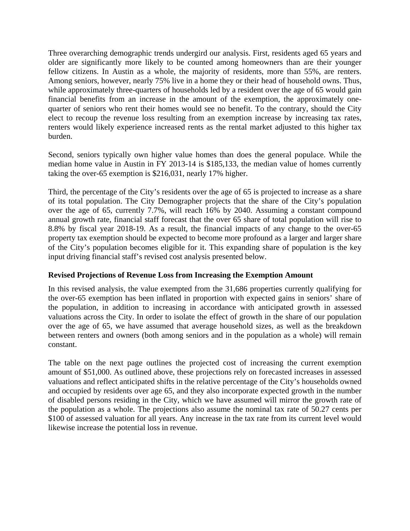Three overarching demographic trends undergird our analysis. First, residents aged 65 years and older are significantly more likely to be counted among homeowners than are their younger fellow citizens. In Austin as a whole, the majority of residents, more than 55%, are renters. Among seniors, however, nearly 75% live in a home they or their head of household owns. Thus, while approximately three-quarters of households led by a resident over the age of 65 would gain financial benefits from an increase in the amount of the exemption, the approximately onequarter of seniors who rent their homes would see no benefit. To the contrary, should the City elect to recoup the revenue loss resulting from an exemption increase by increasing tax rates, renters would likely experience increased rents as the rental market adjusted to this higher tax burden.

Second, seniors typically own higher value homes than does the general populace. While the median home value in Austin in FY 2013-14 is \$185,133, the median value of homes currently taking the over-65 exemption is \$216,031, nearly 17% higher.

Third, the percentage of the City's residents over the age of 65 is projected to increase as a share of its total population. The City Demographer projects that the share of the City's population over the age of 65, currently 7.7%, will reach 16% by 2040. Assuming a constant compound annual growth rate, financial staff forecast that the over 65 share of total population will rise to 8.8% by fiscal year 2018-19. As a result, the financial impacts of any change to the over-65 property tax exemption should be expected to become more profound as a larger and larger share of the City's population becomes eligible for it. This expanding share of population is the key input driving financial staff's revised cost analysis presented below.

# **Revised Projections of Revenue Loss from Increasing the Exemption Amount**

In this revised analysis, the value exempted from the 31,686 properties currently qualifying for the over-65 exemption has been inflated in proportion with expected gains in seniors' share of the population, in addition to increasing in accordance with anticipated growth in assessed valuations across the City. In order to isolate the effect of growth in the share of our population over the age of 65, we have assumed that average household sizes, as well as the breakdown between renters and owners (both among seniors and in the population as a whole) will remain constant.

The table on the next page outlines the projected cost of increasing the current exemption amount of \$51,000. As outlined above, these projections rely on forecasted increases in assessed valuations and reflect anticipated shifts in the relative percentage of the City's households owned and occupied by residents over age 65, and they also incorporate expected growth in the number of disabled persons residing in the City, which we have assumed will mirror the growth rate of the population as a whole. The projections also assume the nominal tax rate of 50.27 cents per \$100 of assessed valuation for all years. Any increase in the tax rate from its current level would likewise increase the potential loss in revenue.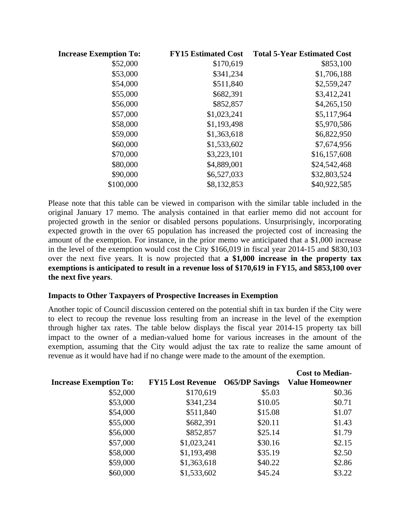| <b>Increase Exemption To:</b> | <b>FY15 Estimated Cost</b> | <b>Total 5-Year Estimated Cost</b> |
|-------------------------------|----------------------------|------------------------------------|
| \$52,000                      | \$170,619                  | \$853,100                          |
| \$53,000                      | \$341,234                  | \$1,706,188                        |
| \$54,000                      | \$511,840                  | \$2,559,247                        |
| \$55,000                      | \$682,391                  | \$3,412,241                        |
| \$56,000                      | \$852,857                  | \$4,265,150                        |
| \$57,000                      | \$1,023,241                | \$5,117,964                        |
| \$58,000                      | \$1,193,498                | \$5,970,586                        |
| \$59,000                      | \$1,363,618                | \$6,822,950                        |
| \$60,000                      | \$1,533,602                | \$7,674,956                        |
| \$70,000                      | \$3,223,101                | \$16,157,608                       |
| \$80,000                      | \$4,889,001                | \$24,542,468                       |
| \$90,000                      | \$6,527,033                | \$32,803,524                       |
| \$100,000                     | \$8,132,853                | \$40,922,585                       |

Please note that this table can be viewed in comparison with the similar table included in the original January 17 memo. The analysis contained in that earlier memo did not account for projected growth in the senior or disabled persons populations. Unsurprisingly, incorporating expected growth in the over 65 population has increased the projected cost of increasing the amount of the exemption. For instance, in the prior memo we anticipated that a \$1,000 increase in the level of the exemption would cost the City \$166,019 in fiscal year 2014-15 and \$830,103 over the next five years. It is now projected that **a \$1,000 increase in the property tax exemptions is anticipated to result in a revenue loss of \$170,619 in FY15, and \$853,100 over the next five years**.

### **Impacts to Other Taxpayers of Prospective Increases in Exemption**

Another topic of Council discussion centered on the potential shift in tax burden if the City were to elect to recoup the revenue loss resulting from an increase in the level of the exemption through higher tax rates. The table below displays the fiscal year 2014-15 property tax bill impact to the owner of a median-valued home for various increases in the amount of the exemption, assuming that the City would adjust the tax rate to realize the same amount of revenue as it would have had if no change were made to the amount of the exemption.

|             |         | <b>Cost to Median-</b>                  |
|-------------|---------|-----------------------------------------|
|             |         | <b>Value Homeowner</b>                  |
| \$170,619   | \$5.03  | \$0.36                                  |
| \$341,234   | \$10.05 | \$0.71                                  |
| \$511,840   | \$15.08 | \$1.07                                  |
| \$682,391   | \$20.11 | \$1.43                                  |
| \$852,857   | \$25.14 | \$1.79                                  |
| \$1,023,241 | \$30.16 | \$2.15                                  |
| \$1,193,498 | \$35.19 | \$2.50                                  |
| \$1,363,618 | \$40.22 | \$2.86                                  |
| \$1,533,602 | \$45.24 | \$3.22                                  |
|             |         | <b>FY15 Lost Revenue</b> O65/DP Savings |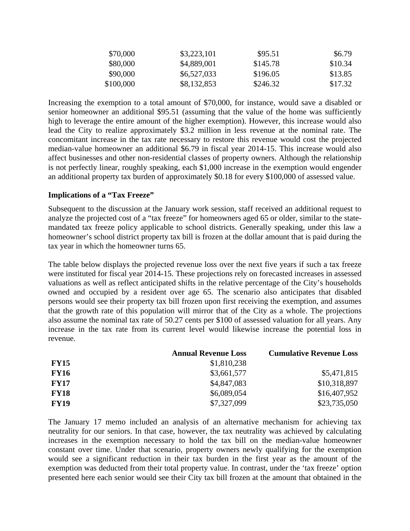| \$70,000  | \$3,223,101 | \$95.51  | \$6.79  |
|-----------|-------------|----------|---------|
| \$80,000  | \$4,889,001 | \$145.78 | \$10.34 |
| \$90,000  | \$6,527,033 | \$196.05 | \$13.85 |
| \$100,000 | \$8,132,853 | \$246.32 | \$17.32 |

Increasing the exemption to a total amount of \$70,000, for instance, would save a disabled or senior homeowner an additional \$95.51 (assuming that the value of the home was sufficiently high to leverage the entire amount of the higher exemption). However, this increase would also lead the City to realize approximately \$3.2 million in less revenue at the nominal rate. The concomitant increase in the tax rate necessary to restore this revenue would cost the projected median-value homeowner an additional \$6.79 in fiscal year 2014-15. This increase would also affect businesses and other non-residential classes of property owners. Although the relationship is not perfectly linear, roughly speaking, each \$1,000 increase in the exemption would engender an additional property tax burden of approximately \$0.18 for every \$100,000 of assessed value.

### **Implications of a "Tax Freeze"**

Subsequent to the discussion at the January work session, staff received an additional request to analyze the projected cost of a "tax freeze" for homeowners aged 65 or older, similar to the statemandated tax freeze policy applicable to school districts. Generally speaking, under this law a homeowner's school district property tax bill is frozen at the dollar amount that is paid during the tax year in which the homeowner turns 65.

The table below displays the projected revenue loss over the next five years if such a tax freeze were instituted for fiscal year 2014-15. These projections rely on forecasted increases in assessed valuations as well as reflect anticipated shifts in the relative percentage of the City's households owned and occupied by a resident over age 65. The scenario also anticipates that disabled persons would see their property tax bill frozen upon first receiving the exemption, and assumes that the growth rate of this population will mirror that of the City as a whole. The projections also assume the nominal tax rate of 50.27 cents per \$100 of assessed valuation for all years. Any increase in the tax rate from its current level would likewise increase the potential loss in revenue.

|             | <b>Annual Revenue Loss</b> | <b>Cumulative Revenue Loss</b> |
|-------------|----------------------------|--------------------------------|
| <b>FY15</b> | \$1,810,238                |                                |
| <b>FY16</b> | \$3,661,577                | \$5,471,815                    |
| <b>FY17</b> | \$4,847,083                | \$10,318,897                   |
| <b>FY18</b> | \$6,089,054                | \$16,407,952                   |
| <b>FY19</b> | \$7,327,099                | \$23,735,050                   |

The January 17 memo included an analysis of an alternative mechanism for achieving tax neutrality for our seniors. In that case, however, the tax neutrality was achieved by calculating increases in the exemption necessary to hold the tax bill on the median-value homeowner constant over time. Under that scenario, property owners newly qualifying for the exemption would see a significant reduction in their tax burden in the first year as the amount of the exemption was deducted from their total property value. In contrast, under the 'tax freeze' option presented here each senior would see their City tax bill frozen at the amount that obtained in the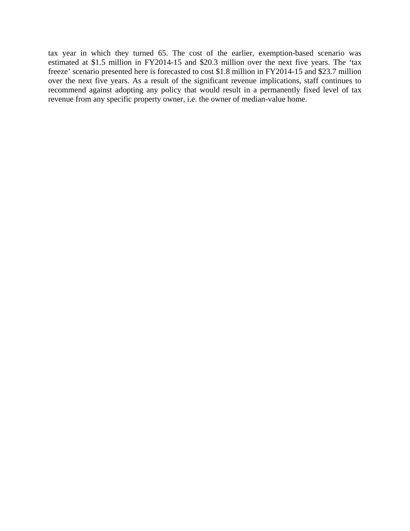tax year in which they turned 65. The cost of the earlier, exemption-based scenario was estimated at \$1.5 million in FY2014-15 and \$20.3 million over the next five years. The 'tax freeze' scenario presented here is forecasted to cost \$1.8 million in FY2014-15 and \$23.7 million over the next five years. As a result of the significant revenue implications, staff continues to recommend against adopting any policy that would result in a permanently fixed level of tax revenue from any specific property owner, i.e. the owner of median-value home.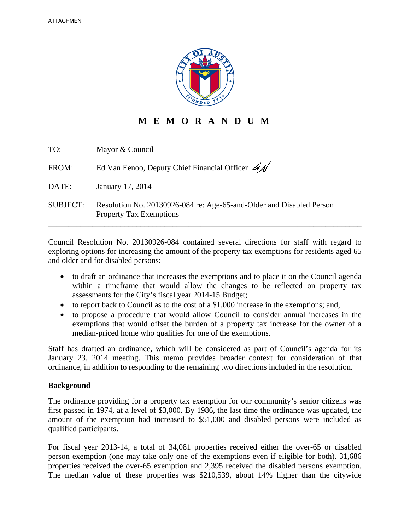

**M E M O R A N D U M** 

| TO:             | Mayor & Council                                                                                        |
|-----------------|--------------------------------------------------------------------------------------------------------|
| FROM:           | Ed Van Eenoo, Deputy Chief Financial Officer $\overrightarrow{A}$                                      |
| DATE:           | January 17, 2014                                                                                       |
| <b>SUBJECT:</b> | Resolution No. 20130926-084 re: Age-65-and-Older and Disabled Person<br><b>Property Tax Exemptions</b> |

Council Resolution No. 20130926-084 contained several directions for staff with regard to exploring options for increasing the amount of the property tax exemptions for residents aged 65 and older and for disabled persons:

- to draft an ordinance that increases the exemptions and to place it on the Council agenda within a timeframe that would allow the changes to be reflected on property tax assessments for the City's fiscal year 2014-15 Budget;
- $\bullet$  to report back to Council as to the cost of a \$1,000 increase in the exemptions; and,
- to propose a procedure that would allow Council to consider annual increases in the exemptions that would offset the burden of a property tax increase for the owner of a median-priced home who qualifies for one of the exemptions.

Staff has drafted an ordinance, which will be considered as part of Council's agenda for its January 23, 2014 meeting. This memo provides broader context for consideration of that ordinance, in addition to responding to the remaining two directions included in the resolution.

### **Background**

The ordinance providing for a property tax exemption for our community's senior citizens was first passed in 1974, at a level of \$3,000. By 1986, the last time the ordinance was updated, the amount of the exemption had increased to \$51,000 and disabled persons were included as qualified participants.

For fiscal year 2013-14, a total of 34,081 properties received either the over-65 or disabled person exemption (one may take only one of the exemptions even if eligible for both). 31,686 properties received the over-65 exemption and 2,395 received the disabled persons exemption. The median value of these properties was \$210,539, about 14% higher than the citywide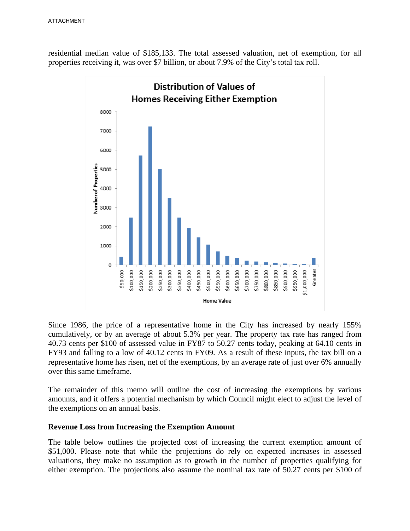residential median value of \$185,133. The total assessed valuation, net of exemption, for all properties receiving it, was over \$7 billion, or about 7.9% of the City's total tax roll.



Since 1986, the price of a representative home in the City has increased by nearly 155% cumulatively, or by an average of about 5.3% per year. The property tax rate has ranged from 40.73 cents per \$100 of assessed value in FY87 to 50.27 cents today, peaking at 64.10 cents in FY93 and falling to a low of 40.12 cents in FY09. As a result of these inputs, the tax bill on a representative home has risen, net of the exemptions, by an average rate of just over 6% annually over this same timeframe.

The remainder of this memo will outline the cost of increasing the exemptions by various amounts, and it offers a potential mechanism by which Council might elect to adjust the level of the exemptions on an annual basis.

### **Revenue Loss from Increasing the Exemption Amount**

The table below outlines the projected cost of increasing the current exemption amount of \$51,000. Please note that while the projections do rely on expected increases in assessed valuations, they make no assumption as to growth in the number of properties qualifying for either exemption. The projections also assume the nominal tax rate of 50.27 cents per \$100 of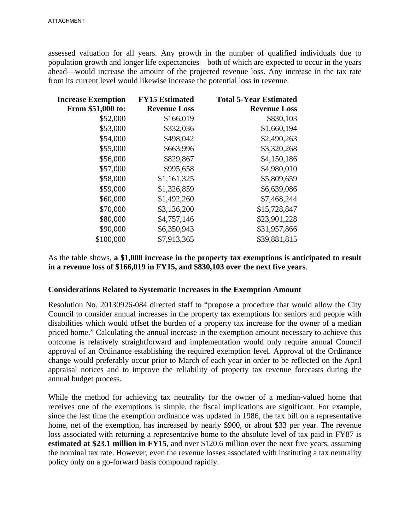assessed valuation for all years. Any growth in the number of qualified individuals due to population growth and longer life expectancies—both of which are expected to occur in the years ahead—would increase the amount of the projected revenue loss. Any increase in the tax rate from its current level would likewise increase the potential loss in revenue.

| <b>Increase Exemption</b> | <b>FY15 Estimated</b> | <b>Total 5-Year Estimated</b> |
|---------------------------|-----------------------|-------------------------------|
| From \$51,000 to:         | <b>Revenue Loss</b>   | <b>Revenue Loss</b>           |
| \$52,000                  | \$166,019             | \$830,103                     |
| \$53,000                  | \$332,036             | \$1,660,194                   |
| \$54,000                  | \$498,042             | \$2,490,263                   |
| \$55,000                  | \$663,996             | \$3,320,268                   |
| \$56,000                  | \$829,867             | \$4,150,186                   |
| \$57,000                  | \$995,658             | \$4,980,010                   |
| \$58,000                  | \$1,161,325           | \$5,809,659                   |
| \$59,000                  | \$1,326,859           | \$6,639,086                   |
| \$60,000                  | \$1,492,260           | \$7,468,244                   |
| \$70,000                  | \$3,136,200           | \$15,728,847                  |
| \$80,000                  | \$4,757,146           | \$23,901,228                  |
| \$90,000                  | \$6,350,943           | \$31,957,866                  |
| \$100,000                 | \$7,913,365           | \$39,881,815                  |
|                           |                       |                               |

As the table shows, **a \$1,000 increase in the property tax exemptions is anticipated to result in a revenue loss of \$166,019 in FY15, and \$830,103 over the next five years**.

### **Considerations Related to Systematic Increases in the Exemption Amount**

Resolution No. 20130926-084 directed staff to "propose a procedure that would allow the City Council to consider annual increases in the property tax exemptions for seniors and people with disabilities which would offset the burden of a property tax increase for the owner of a median priced home." Calculating the annual increase in the exemption amount necessary to achieve this outcome is relatively straightforward and implementation would only require annual Council approval of an Ordinance establishing the required exemption level. Approval of the Ordinance change would preferably occur prior to March of each year in order to be reflected on the April appraisal notices and to improve the reliability of property tax revenue forecasts during the annual budget process.

While the method for achieving tax neutrality for the owner of a median-valued home that receives one of the exemptions is simple, the fiscal implications are significant. For example, since the last time the exemption ordinance was updated in 1986, the tax bill on a representative home, net of the exemption, has increased by nearly \$900, or about \$33 per year. The revenue loss associated with returning a representative home to the absolute level of tax paid in FY87 is **estimated at \$23.1 million in FY15**, and over \$120.6 million over the next five years, assuming the nominal tax rate. However, even the revenue losses associated with instituting a tax neutrality policy only on a go-forward basis compound rapidly.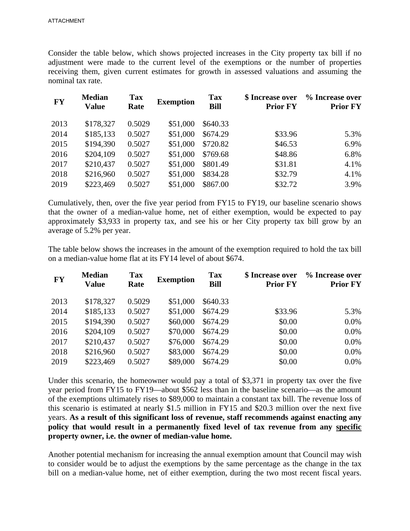Consider the table below, which shows projected increases in the City property tax bill if no adjustment were made to the current level of the exemptions or the number of properties receiving them, given current estimates for growth in assessed valuations and assuming the nominal tax rate.

| <b>FY</b> | <b>Median</b><br><b>Value</b> | <b>Tax</b><br>Rate | <b>Exemption</b> | <b>Tax</b><br><b>Bill</b> | \$ Increase over<br><b>Prior FY</b> | % Increase over<br><b>Prior FY</b> |
|-----------|-------------------------------|--------------------|------------------|---------------------------|-------------------------------------|------------------------------------|
| 2013      | \$178,327                     | 0.5029             | \$51,000         | \$640.33                  |                                     |                                    |
| 2014      | \$185,133                     | 0.5027             | \$51,000         | \$674.29                  | \$33.96                             | 5.3%                               |
| 2015      | \$194,390                     | 0.5027             | \$51,000         | \$720.82                  | \$46.53                             | 6.9%                               |
| 2016      | \$204,109                     | 0.5027             | \$51,000         | \$769.68                  | \$48.86                             | 6.8%                               |
| 2017      | \$210,437                     | 0.5027             | \$51,000         | \$801.49                  | \$31.81                             | 4.1%                               |
| 2018      | \$216,960                     | 0.5027             | \$51,000         | \$834.28                  | \$32.79                             | 4.1%                               |
| 2019      | \$223,469                     | 0.5027             | \$51,000         | \$867.00                  | \$32.72                             | 3.9%                               |

Cumulatively, then, over the five year period from FY15 to FY19, our baseline scenario shows that the owner of a median-value home, net of either exemption, would be expected to pay approximately \$3,933 in property tax, and see his or her City property tax bill grow by an average of 5.2% per year.

The table below shows the increases in the amount of the exemption required to hold the tax bill on a median-value home flat at its FY14 level of about \$674.

| <b>FY</b> | <b>Median</b><br><b>Value</b> | <b>Tax</b><br>Rate | <b>Exemption</b> | <b>Tax</b><br><b>Bill</b> | \$ Increase over<br><b>Prior FY</b> | % Increase over<br><b>Prior FY</b> |
|-----------|-------------------------------|--------------------|------------------|---------------------------|-------------------------------------|------------------------------------|
| 2013      | \$178,327                     | 0.5029             | \$51,000         | \$640.33                  |                                     |                                    |
| 2014      | \$185,133                     | 0.5027             | \$51,000         | \$674.29                  | \$33.96                             | 5.3%                               |
| 2015      | \$194,390                     | 0.5027             | \$60,000         | \$674.29                  | \$0.00                              | 0.0%                               |
| 2016      | \$204,109                     | 0.5027             | \$70,000         | \$674.29                  | \$0.00                              | 0.0%                               |
| 2017      | \$210,437                     | 0.5027             | \$76,000         | \$674.29                  | \$0.00                              | 0.0%                               |
| 2018      | \$216,960                     | 0.5027             | \$83,000         | \$674.29                  | \$0.00                              | 0.0%                               |
| 2019      | \$223,469                     | 0.5027             | \$89,000         | \$674.29                  | \$0.00                              | 0.0%                               |
|           |                               |                    |                  |                           |                                     |                                    |

Under this scenario, the homeowner would pay a total of \$3,371 in property tax over the five year period from FY15 to FY19—about \$562 less than in the baseline scenario—as the amount of the exemptions ultimately rises to \$89,000 to maintain a constant tax bill. The revenue loss of this scenario is estimated at nearly \$1.5 million in FY15 and \$20.3 million over the next five years. **As a result of this significant loss of revenue, staff recommends against enacting any policy that would result in a permanently fixed level of tax revenue from any specific property owner, i.e. the owner of median-value home.** 

Another potential mechanism for increasing the annual exemption amount that Council may wish to consider would be to adjust the exemptions by the same percentage as the change in the tax bill on a median-value home, net of either exemption, during the two most recent fiscal years.